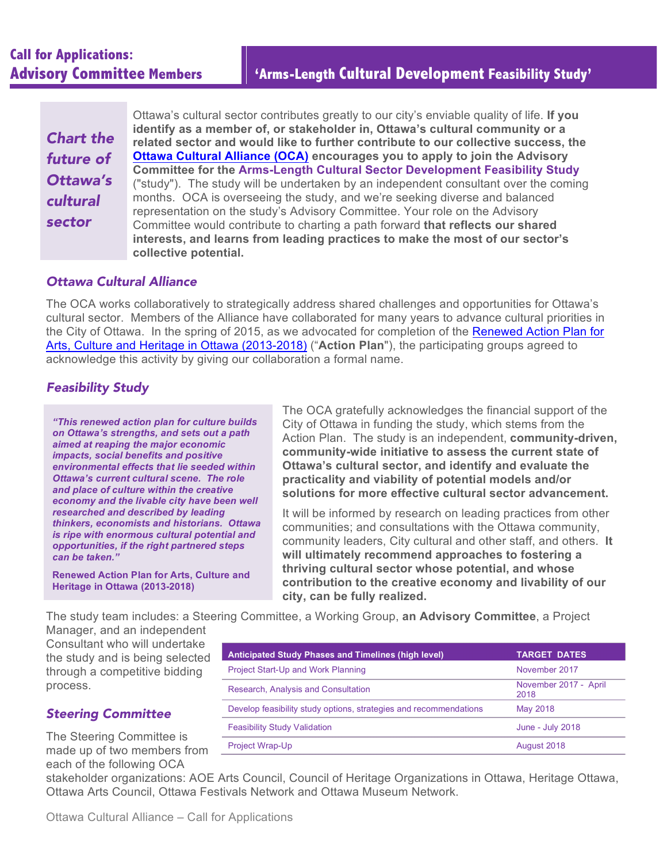# **Call for Applications:**

| <b>Chart the</b> |
|------------------|
| future of        |
| Ottawa's         |
| cultural         |
| sector           |
|                  |

Ottawa's cultural sector contributes greatly to our city's enviable quality of life. **If you identify as a member of, or stakeholder in, Ottawa's cultural community or a related sector and would like to further contribute to our collective success, the Ottawa Cultural Alliance (OCA) encourages you to apply to join the Advisory Committee for the Arms-Length Cultural Sector Development Feasibility Study** ("study"). The study will be undertaken by an independent consultant over the coming months. OCA is overseeing the study, and we're seeking diverse and balanced representation on the study's Advisory Committee. Your role on the Advisory Committee would contribute to charting a path forward **that reflects our shared interests, and learns from leading practices to make the most of our sector's collective potential.**

#### *Ottawa Cultural Alliance*

The OCA works collaboratively to strategically address shared challenges and opportunities for Ottawa's cultural sector. Members of the Alliance have collaborated for many years to advance cultural priorities in the City of Ottawa. In the spring of 2015, as we advocated for completion of the Renewed Action Plan for Arts, Culture and Heritage in Ottawa (2013-2018) ("**Action Plan**"), the participating groups agreed to acknowledge this activity by giving our collaboration a formal name.

## *Feasibility Study*

*"This renewed action plan for culture builds on Ottawa's strengths, and sets out a path aimed at reaping the major economic impacts, social benefits and positive environmental effects that lie seeded within Ottawa's current cultural scene. The role and place of culture within the creative economy and the livable city have been well researched and described by leading thinkers, economists and historians. Ottawa is ripe with enormous cultural potential and opportunities, if the right partnered steps can be taken."*

**Renewed Action Plan for Arts, Culture and Heritage in Ottawa (2013-2018)** 

The OCA gratefully acknowledges the financial support of the City of Ottawa in funding the study, which stems from the Action Plan. The study is an independent, **community-driven, community-wide initiative to assess the current state of Ottawa's cultural sector, and identify and evaluate the practicality and viability of potential models and/or solutions for more effective cultural sector advancement.**

It will be informed by research on leading practices from other communities; and consultations with the Ottawa community, community leaders, City cultural and other staff, and others. **It will ultimately recommend approaches to fostering a thriving cultural sector whose potential, and whose contribution to the creative economy and livability of our city, can be fully realized.**

The study team includes: a Steering Committee, a Working Group, **an Advisory Committee**, a Project Manager, and an independent

Consultant who will undertake the study and is being selected through a competitive bidding process.

| <b>Anticipated Study Phases and Timelines (high level)</b>        | <b>TARGET DATES</b>           |
|-------------------------------------------------------------------|-------------------------------|
| Project Start-Up and Work Planning                                | November 2017                 |
| Research, Analysis and Consultation                               | November 2017 - April<br>2018 |
| Develop feasibility study options, strategies and recommendations | May 2018                      |
| <b>Feasibility Study Validation</b>                               | June - July 2018              |
| <b>Project Wrap-Up</b>                                            | August 2018                   |

### *Steering Committee*

The Steering Committee is made up of two members from each of the following OCA

stakeholder organizations: AOE Arts Council, Council of Heritage Organizations in Ottawa, Heritage Ottawa, Ottawa Arts Council, Ottawa Festivals Network and Ottawa Museum Network.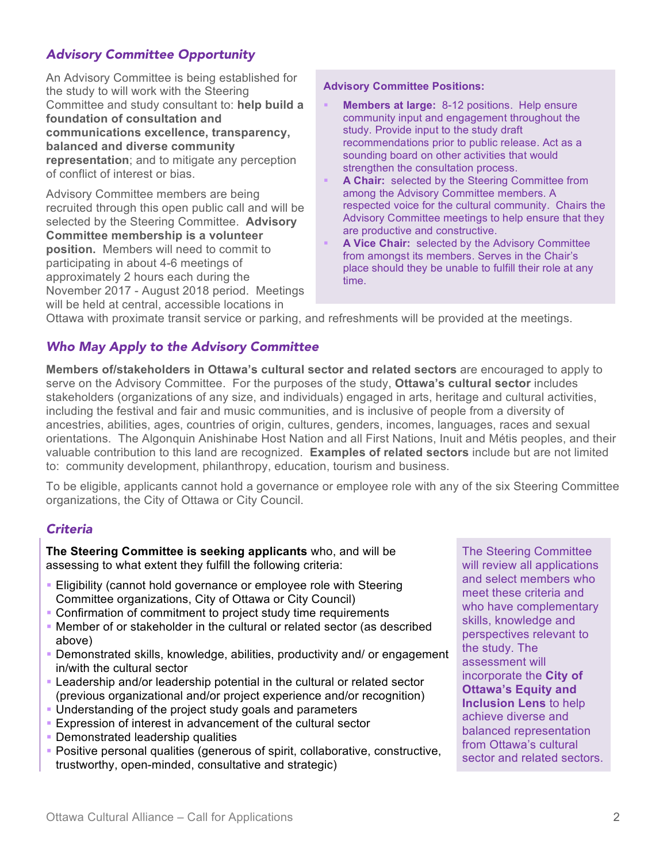# *Advisory Committee Opportunity*

An Advisory Committee is being established for the study to will work with the Steering Committee and study consultant to: **help build a foundation of consultation and communications excellence, transparency, balanced and diverse community representation**; and to mitigate any perception of conflict of interest or bias.

Advisory Committee members are being recruited through this open public call and will be selected by the Steering Committee. **Advisory Committee membership is a volunteer position.** Members will need to commit to participating in about 4-6 meetings of approximately 2 hours each during the November 2017 - August 2018 period. Meetings will be held at central, accessible locations in

#### **Advisory Committee Positions:**

- **Members at large:** 8-12 positions. Help ensure community input and engagement throughout the study. Provide input to the study draft recommendations prior to public release. Act as a sounding board on other activities that would strengthen the consultation process.
- § **A Chair:** selected by the Steering Committee from among the Advisory Committee members. A respected voice for the cultural community. Chairs the Advisory Committee meetings to help ensure that they are productive and constructive.
- § **A Vice Chair:** selected by the Advisory Committee from amongst its members. Serves in the Chair's place should they be unable to fulfill their role at any time.

Ottawa with proximate transit service or parking, and refreshments will be provided at the meetings.

### *Who May Apply to the Advisory Committee*

**Members of/stakeholders in Ottawa's cultural sector and related sectors** are encouraged to apply to serve on the Advisory Committee. For the purposes of the study, **Ottawa's cultural sector** includes stakeholders (organizations of any size, and individuals) engaged in arts, heritage and cultural activities, including the festival and fair and music communities, and is inclusive of people from a diversity of ancestries, abilities, ages, countries of origin, cultures, genders, incomes, languages, races and sexual orientations. The Algonquin Anishinabe Host Nation and all First Nations, Inuit and Métis peoples, and their valuable contribution to this land are recognized. **Examples of related sectors** include but are not limited to: community development, philanthropy, education, tourism and business.

To be eligible, applicants cannot hold a governance or employee role with any of the six Steering Committee organizations, the City of Ottawa or City Council.

#### *Criteria*

**The Steering Committee is seeking applicants** who, and will be assessing to what extent they fulfill the following criteria:

- Eligibility (cannot hold governance or employee role with Steering Committee organizations, City of Ottawa or City Council)
- Confirmation of commitment to project study time requirements
- § Member of or stakeholder in the cultural or related sector (as described above)
- Demonstrated skills, knowledge, abilities, productivity and/ or engagement in/with the cultural sector
- Leadership and/or leadership potential in the cultural or related sector (previous organizational and/or project experience and/or recognition)
- § Understanding of the project study goals and parameters
- § Expression of interest in advancement of the cultural sector
- § Demonstrated leadership qualities
- § Positive personal qualities (generous of spirit, collaborative, constructive, trustworthy, open-minded, consultative and strategic)

The Steering Committee will review all applications and select members who meet these criteria and who have complementary skills, knowledge and perspectives relevant to the study. The assessment will incorporate the **City of Ottawa's Equity and Inclusion Lens** to help achieve diverse and balanced representation from Ottawa's cultural sector and related sectors.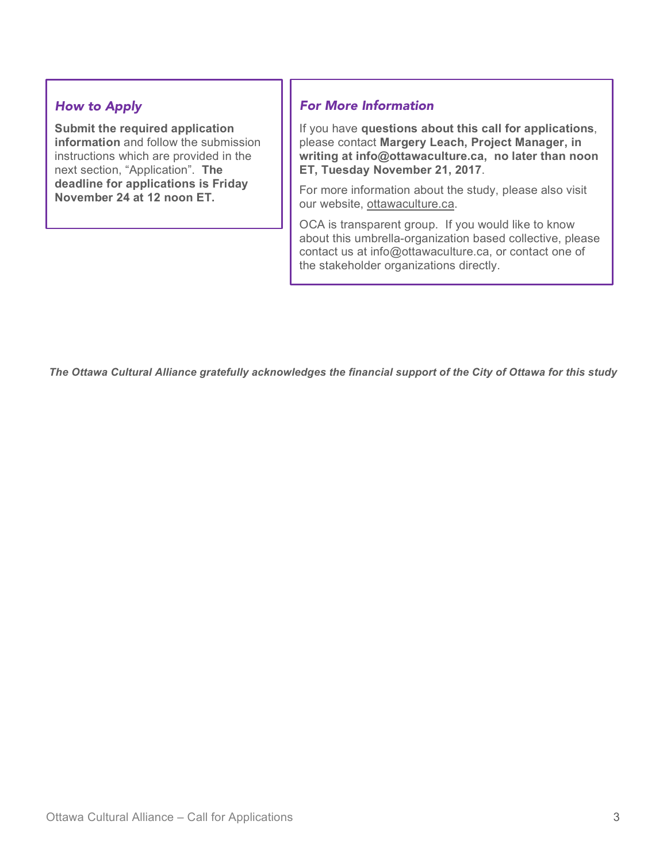# *How to Apply*

**Submit the required application information** and follow the submission instructions which are provided in the next section, "Application". **The deadline for applications is Friday November 24 at 12 noon ET.**

# *For More Information*

If you have **questions about this call for applications**, please contact **Margery Leach, Project Manager, in writing at info@ottawaculture.ca, no later than noon ET, Tuesday November 21, 2017**.

For more information about the study, please also visit our website, ottawaculture.ca.

OCA is transparent group. If you would like to know about this umbrella-organization based collective, please contact us at info@ottawaculture.ca, or contact one of the stakeholder organizations directly.

*The Ottawa Cultural Alliance gratefully acknowledges the financial support of the City of Ottawa for this study*